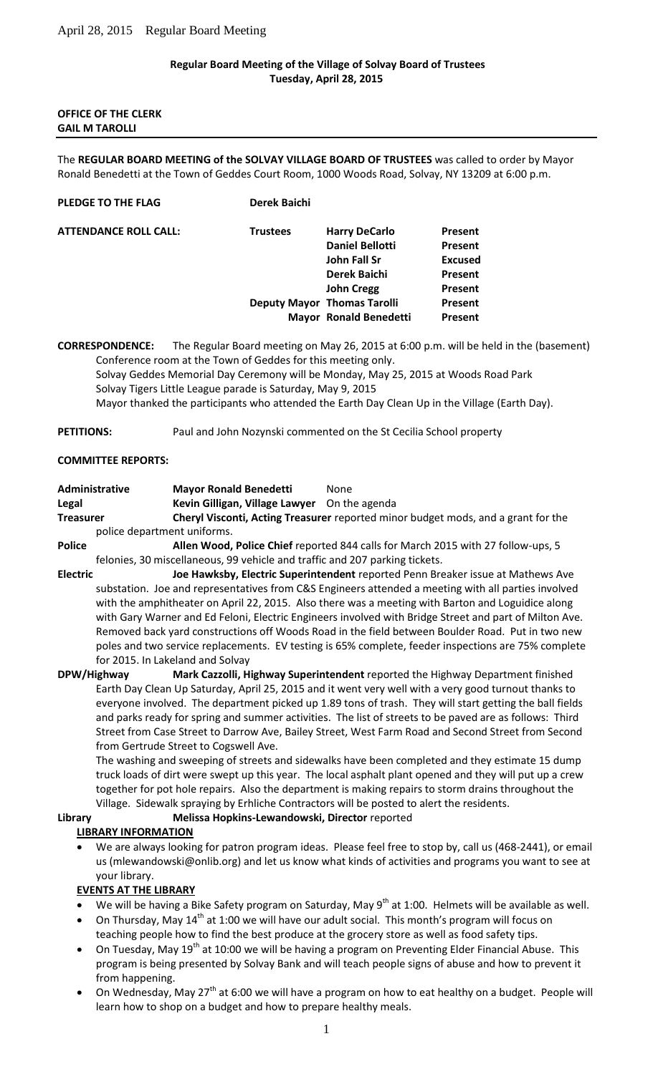## **Regular Board Meeting of the Village of Solvay Board of Trustees Tuesday, April 28, 2015**

### **OFFICE OF THE CLERK GAIL M TAROLLI**

The **REGULAR BOARD MEETING of the SOLVAY VILLAGE BOARD OF TRUSTEES** was called to order by Mayor Ronald Benedetti at the Town of Geddes Court Room, 1000 Woods Road, Solvay, NY 13209 at 6:00 p.m.

| PLEDGE TO THE FLAG           | <b>Derek Baichi</b> |                                    |                |
|------------------------------|---------------------|------------------------------------|----------------|
| <b>ATTENDANCE ROLL CALL:</b> | <b>Trustees</b>     | <b>Harry DeCarlo</b>               | Present        |
|                              |                     | <b>Daniel Bellotti</b>             | Present        |
|                              |                     | John Fall Sr                       | <b>Excused</b> |
|                              |                     | Derek Baichi                       | <b>Present</b> |
|                              |                     | <b>John Cregg</b>                  | <b>Present</b> |
|                              |                     | <b>Deputy Mayor Thomas Tarolli</b> | <b>Present</b> |
|                              |                     | <b>Mayor Ronald Benedetti</b>      | <b>Present</b> |
|                              |                     |                                    |                |

**CORRESPONDENCE:** The Regular Board meeting on May 26, 2015 at 6:00 p.m. will be held in the (basement) Conference room at the Town of Geddes for this meeting only.

Solvay Geddes Memorial Day Ceremony will be Monday, May 25, 2015 at Woods Road Park Solvay Tigers Little League parade is Saturday, May 9, 2015

Mayor thanked the participants who attended the Earth Day Clean Up in the Village (Earth Day).

**PETITIONS:** Paul and John Nozynski commented on the St Cecilia School property

### **COMMITTEE REPORTS:**

|                  | Administrative              | <b>Mayor Ronald Benedetti</b>                                               | <b>None</b>                                                                       |
|------------------|-----------------------------|-----------------------------------------------------------------------------|-----------------------------------------------------------------------------------|
| Legal            |                             | Kevin Gilligan, Village Lawyer On the agenda                                |                                                                                   |
| <b>Treasurer</b> |                             |                                                                             | Cheryl Visconti, Acting Treasurer reported minor budget mods, and a grant for the |
|                  | police department uniforms. |                                                                             |                                                                                   |
| Police           |                             |                                                                             | Allen Wood, Police Chief reported 844 calls for March 2015 with 27 follow-ups, 5  |
|                  |                             | felonies, 30 miscellaneous, 99 vehicle and traffic and 207 parking tickets. |                                                                                   |

**Electric Joe Hawksby, Electric Superintendent** reported Penn Breaker issue at Mathews Ave substation. Joe and representatives from C&S Engineers attended a meeting with all parties involved with the amphitheater on April 22, 2015. Also there was a meeting with Barton and Loguidice along with Gary Warner and Ed Feloni, Electric Engineers involved with Bridge Street and part of Milton Ave. Removed back yard constructions off Woods Road in the field between Boulder Road. Put in two new poles and two service replacements. EV testing is 65% complete, feeder inspections are 75% complete for 2015. In Lakeland and Solvay

**DPW/Highway Mark Cazzolli, Highway Superintendent** reported the Highway Department finished Earth Day Clean Up Saturday, April 25, 2015 and it went very well with a very good turnout thanks to everyone involved. The department picked up 1.89 tons of trash. They will start getting the ball fields and parks ready for spring and summer activities. The list of streets to be paved are as follows: Third Street from Case Street to Darrow Ave, Bailey Street, West Farm Road and Second Street from Second from Gertrude Street to Cogswell Ave.

The washing and sweeping of streets and sidewalks have been completed and they estimate 15 dump truck loads of dirt were swept up this year. The local asphalt plant opened and they will put up a crew together for pot hole repairs. Also the department is making repairs to storm drains throughout the Village. Sidewalk spraying by Erhliche Contractors will be posted to alert the residents.

### **Library Melissa Hopkins-Lewandowski, Director** reported

### **LIBRARY INFORMATION**

 We are always looking for patron program ideas. Please feel free to stop by, call us (468-2441), or email us (mlewandowski@onlib.org) and let us know what kinds of activities and programs you want to see at your library.

### **EVENTS AT THE LIBRARY**

- We will be having a Bike Safety program on Saturday, May  $9<sup>th</sup>$  at 1:00. Helmets will be available as well.
- On Thursday, May 14<sup>th</sup> at 1:00 we will have our adult social. This month's program will focus on teaching people how to find the best produce at the grocery store as well as food safety tips.
- On Tuesday, May 19<sup>th</sup> at 10:00 we will be having a program on Preventing Elder Financial Abuse. This program is being presented by Solvay Bank and will teach people signs of abuse and how to prevent it from happening.
- On Wednesday, May  $27<sup>th</sup>$  at 6:00 we will have a program on how to eat healthy on a budget. People will learn how to shop on a budget and how to prepare healthy meals.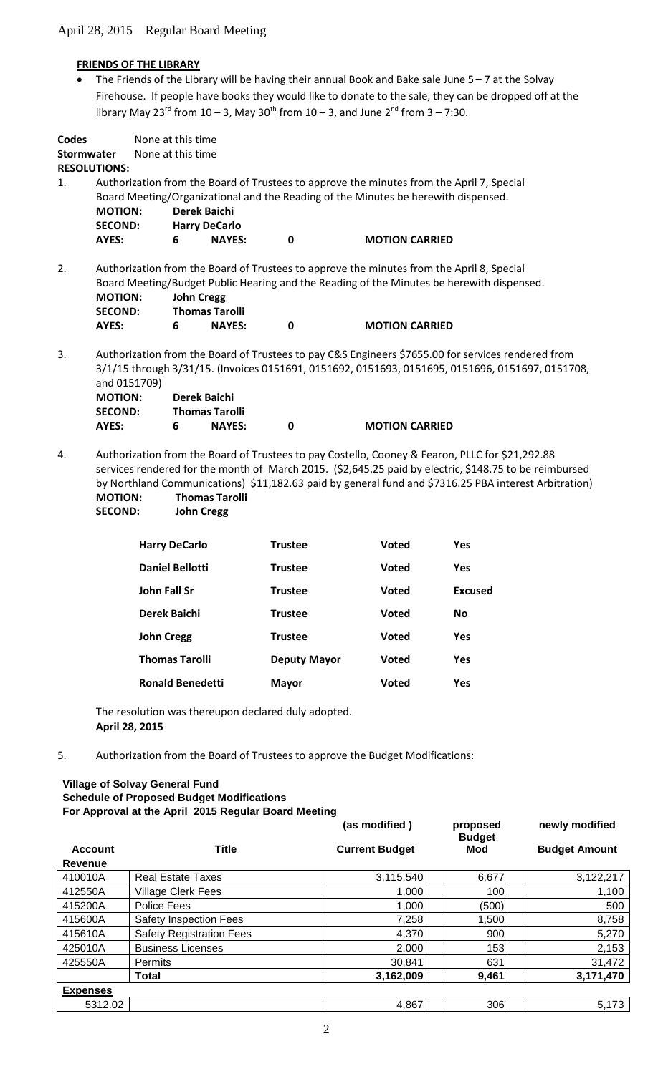## **FRIENDS OF THE LIBRARY**

• The Friends of the Library will be having their annual Book and Bake sale June 5 - 7 at the Solvay Firehouse. If people have books they would like to donate to the sale, they can be dropped off at the library May 23<sup>rd</sup> from 10 – 3, May 30<sup>th</sup> from 10 – 3, and June 2<sup>nd</sup> from 3 – 7:30.

| Codes             |                                                                                                                                                                                                                                                                          |              | None at this time        |                                        |                |                                                                                                                                                                                                          |                                                                                                                                                                                                                                                                                                                    |
|-------------------|--------------------------------------------------------------------------------------------------------------------------------------------------------------------------------------------------------------------------------------------------------------------------|--------------|--------------------------|----------------------------------------|----------------|----------------------------------------------------------------------------------------------------------------------------------------------------------------------------------------------------------|--------------------------------------------------------------------------------------------------------------------------------------------------------------------------------------------------------------------------------------------------------------------------------------------------------------------|
| <b>Stormwater</b> |                                                                                                                                                                                                                                                                          |              | None at this time        |                                        |                |                                                                                                                                                                                                          |                                                                                                                                                                                                                                                                                                                    |
|                   | <b>RESOLUTIONS:</b>                                                                                                                                                                                                                                                      |              |                          |                                        |                |                                                                                                                                                                                                          |                                                                                                                                                                                                                                                                                                                    |
| 1.                | <b>MOTION:</b><br><b>SECOND:</b><br>AYES:                                                                                                                                                                                                                                |              | <b>Derek Baichi</b><br>6 | <b>Harry DeCarlo</b><br><b>NAYES:</b>  | $\mathbf 0$    | Authorization from the Board of Trustees to approve the minutes from the April 7, Special<br>Board Meeting/Organizational and the Reading of the Minutes be herewith dispensed.<br><b>MOTION CARRIED</b> |                                                                                                                                                                                                                                                                                                                    |
| 2.                | Authorization from the Board of Trustees to approve the minutes from the April 8, Special<br>Board Meeting/Budget Public Hearing and the Reading of the Minutes be herewith dispensed.<br><b>MOTION:</b><br><b>John Cregg</b><br><b>Thomas Tarolli</b><br><b>SECOND:</b> |              |                          |                                        |                |                                                                                                                                                                                                          |                                                                                                                                                                                                                                                                                                                    |
|                   | AYES:                                                                                                                                                                                                                                                                    |              | 6                        | <b>NAYES:</b>                          | $\mathbf 0$    | <b>MOTION CARRIED</b>                                                                                                                                                                                    |                                                                                                                                                                                                                                                                                                                    |
| 3.                | and 0151709)<br><b>MOTION:</b><br><b>SECOND:</b><br><b>AYES:</b>                                                                                                                                                                                                         |              | <b>Derek Baichi</b><br>6 | <b>Thomas Tarolli</b><br><b>NAYES:</b> | 0              | <b>MOTION CARRIED</b>                                                                                                                                                                                    | Authorization from the Board of Trustees to pay C&S Engineers \$7655.00 for services rendered from<br>3/1/15 through 3/31/15. (Invoices 0151691, 0151692, 0151693, 0151695, 0151696, 0151697, 0151708,                                                                                                             |
| 4.                | <b>MOTION:</b><br><b>SECOND:</b>                                                                                                                                                                                                                                         |              | <b>John Cregg</b>        | <b>Thomas Tarolli</b>                  |                |                                                                                                                                                                                                          | Authorization from the Board of Trustees to pay Costello, Cooney & Fearon, PLLC for \$21,292.88<br>services rendered for the month of March 2015. (\$2,645.25 paid by electric, \$148.75 to be reimbursed<br>by Northland Communications) \$11,182.63 paid by general fund and \$7316.25 PBA interest Arbitration) |
|                   |                                                                                                                                                                                                                                                                          |              | <b>Harry DeCarlo</b>     |                                        | <b>Trustee</b> | <b>Voted</b>                                                                                                                                                                                             | <b>Yes</b>                                                                                                                                                                                                                                                                                                         |
|                   |                                                                                                                                                                                                                                                                          |              | <b>Daniel Bellotti</b>   |                                        | <b>Trustee</b> | <b>Voted</b>                                                                                                                                                                                             | <b>Yes</b>                                                                                                                                                                                                                                                                                                         |
|                   |                                                                                                                                                                                                                                                                          | John Fall Sr |                          |                                        | <b>Trustee</b> | Voted                                                                                                                                                                                                    | <b>Excused</b>                                                                                                                                                                                                                                                                                                     |
|                   |                                                                                                                                                                                                                                                                          |              | <b>Derek Baichi</b>      |                                        | <b>Trustee</b> | <b>Voted</b>                                                                                                                                                                                             | <b>No</b>                                                                                                                                                                                                                                                                                                          |

| <b>Thomas Tarolli</b>   | <b>Deputy Mayor</b> | Voted | Yes |
|-------------------------|---------------------|-------|-----|
| <b>Ronald Benedetti</b> | Mavor               | Voted | Yes |

**John Cregg Trustee Voted Yes**

The resolution was thereupon declared duly adopted. **April 28, 2015**

5. Authorization from the Board of Trustees to approve the Budget Modifications:

### **Village of Solvay General Fund Schedule of Proposed Budget Modifications For Approval at the April 2015 Regular Board Meeting**

|                 |                                 | (as modified )        | proposed<br><b>Budget</b> | newly modified       |
|-----------------|---------------------------------|-----------------------|---------------------------|----------------------|
| <b>Account</b>  | Title                           | <b>Current Budget</b> | Mod                       | <b>Budget Amount</b> |
| Revenue         |                                 |                       |                           |                      |
| 410010A         | <b>Real Estate Taxes</b>        | 3,115,540             | 6,677                     | 3,122,217            |
| 412550A         | <b>Village Clerk Fees</b>       | 1,000                 | 100                       | 1,100                |
| 415200A         | Police Fees                     | 1,000                 | (500)                     | 500                  |
| 415600A         | <b>Safety Inspection Fees</b>   | 7,258                 | 1,500                     | 8,758                |
| 415610A         | <b>Safety Registration Fees</b> | 4,370                 | 900                       | 5,270                |
| 425010A         | <b>Business Licenses</b>        | 2,000                 | 153                       | 2,153                |
| 425550A         | <b>Permits</b>                  | 30,841                | 631                       | 31,472               |
|                 | Total                           | 3,162,009             | 9,461                     | 3,171,470            |
| <b>Expenses</b> |                                 |                       |                           |                      |
| 5312.02         |                                 | 4,867                 | 306                       | 5,173                |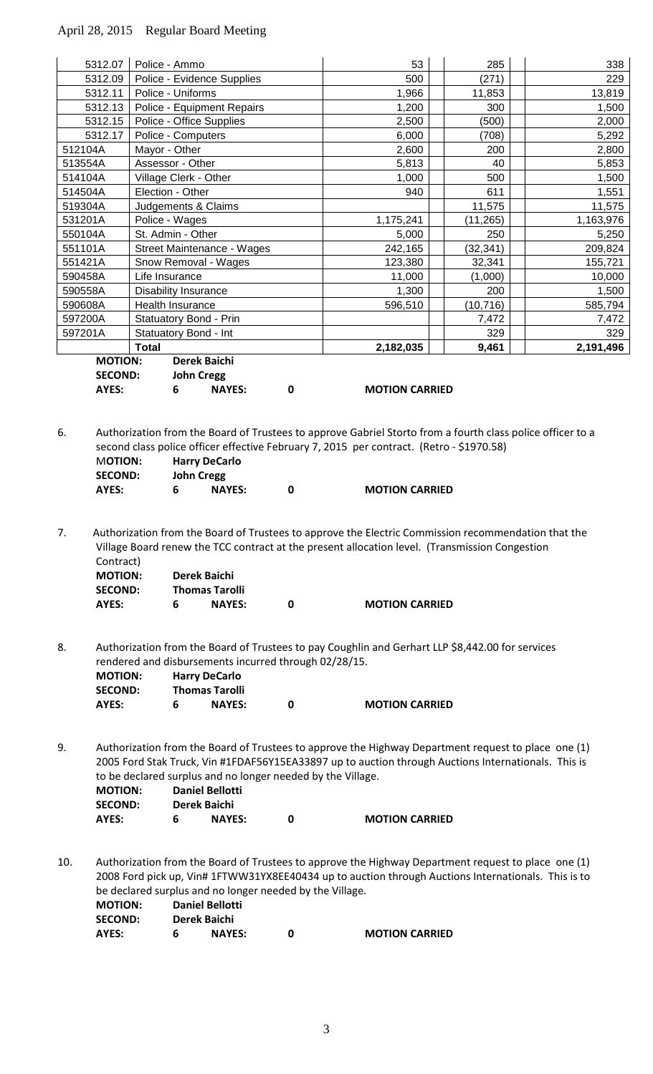|         | 5312.07                                                       |              | Police - Ammo                             |                                                                                                 |             | 53                                                                                                                                                                                                                                                                                                 | 285       | 338       |
|---------|---------------------------------------------------------------|--------------|-------------------------------------------|-------------------------------------------------------------------------------------------------|-------------|----------------------------------------------------------------------------------------------------------------------------------------------------------------------------------------------------------------------------------------------------------------------------------------------------|-----------|-----------|
|         | 5312.09                                                       |              |                                           | Police - Evidence Supplies                                                                      |             | 500                                                                                                                                                                                                                                                                                                | (271)     | 229       |
|         | 5312.11                                                       |              | Police - Uniforms                         |                                                                                                 |             | 1,966                                                                                                                                                                                                                                                                                              | 11,853    | 13,819    |
|         | 5312.13                                                       |              |                                           | <b>Police - Equipment Repairs</b>                                                               |             | 1,200                                                                                                                                                                                                                                                                                              | 300       | 1,500     |
|         | 5312.15                                                       |              | Police - Office Supplies                  |                                                                                                 |             | 2,500                                                                                                                                                                                                                                                                                              | (500)     | 2,000     |
|         | 5312.17                                                       |              | Police - Computers                        |                                                                                                 |             | 6,000                                                                                                                                                                                                                                                                                              | (708)     | 5,292     |
| 512104A |                                                               |              | Mayor - Other                             |                                                                                                 |             | 2,600                                                                                                                                                                                                                                                                                              | 200       | 2,800     |
| 513554A |                                                               |              | Assessor - Other                          |                                                                                                 |             | 5,813                                                                                                                                                                                                                                                                                              | 40        | 5,853     |
| 514104A |                                                               |              | Village Clerk - Other                     |                                                                                                 |             | 1,000                                                                                                                                                                                                                                                                                              | 500       | 1,500     |
| 514504A |                                                               |              | Election - Other                          |                                                                                                 |             | 940                                                                                                                                                                                                                                                                                                | 611       | 1,551     |
| 519304A |                                                               |              | Judgements & Claims                       |                                                                                                 |             |                                                                                                                                                                                                                                                                                                    | 11,575    | 11,575    |
| 531201A |                                                               |              | Police - Wages                            |                                                                                                 |             | 1,175,241                                                                                                                                                                                                                                                                                          | (11, 265) | 1,163,976 |
| 550104A |                                                               |              | St. Admin - Other                         |                                                                                                 |             | 5,000                                                                                                                                                                                                                                                                                              | 250       | 5,250     |
| 551101A |                                                               |              |                                           | Street Maintenance - Wages                                                                      |             | 242,165                                                                                                                                                                                                                                                                                            | (32, 341) | 209,824   |
| 551421A |                                                               |              |                                           | Snow Removal - Wages                                                                            |             | 123,380                                                                                                                                                                                                                                                                                            | 32,341    | 155,721   |
| 590458A |                                                               |              | Life Insurance                            |                                                                                                 |             | 11,000                                                                                                                                                                                                                                                                                             | (1,000)   | 10,000    |
| 590558A |                                                               |              | <b>Disability Insurance</b>               |                                                                                                 |             | 1,300                                                                                                                                                                                                                                                                                              | 200       | 1,500     |
| 590608A |                                                               |              | Health Insurance                          |                                                                                                 |             | 596,510                                                                                                                                                                                                                                                                                            | (10, 716) | 585,794   |
| 597200A |                                                               |              | Statuatory Bond - Prin                    |                                                                                                 |             |                                                                                                                                                                                                                                                                                                    | 7,472     | 7,472     |
| 597201A |                                                               |              | Statuatory Bond - Int                     |                                                                                                 |             |                                                                                                                                                                                                                                                                                                    | 329       | 329       |
|         | <b>MOTION:</b>                                                | <b>Total</b> | <b>Derek Baichi</b>                       |                                                                                                 |             | 2,182,035                                                                                                                                                                                                                                                                                          | 9,461     | 2,191,496 |
|         |                                                               |              |                                           |                                                                                                 |             |                                                                                                                                                                                                                                                                                                    |           |           |
|         | <b>SECOND:</b><br>AYES:                                       |              | <b>John Cregg</b><br>6                    | <b>NAYES:</b>                                                                                   | 0           | <b>MOTION CARRIED</b>                                                                                                                                                                                                                                                                              |           |           |
|         | <b>MOTION:</b><br><b>SECOND:</b>                              |              | <b>Harry DeCarlo</b><br><b>John Cregg</b> |                                                                                                 |             |                                                                                                                                                                                                                                                                                                    |           |           |
|         | AYES:                                                         |              | 6                                         | <b>NAYES:</b>                                                                                   | $\mathbf 0$ | <b>MOTION CARRIED</b>                                                                                                                                                                                                                                                                              |           |           |
| 7.      | Contract)<br><b>MOTION:</b><br><b>SECOND:</b><br><b>AYES:</b> |              | <b>Derek Baichi</b><br>6                  | <b>Thomas Tarolli</b><br><b>NAYES:</b>                                                          | $\mathbf 0$ | Authorization from the Board of Trustees to approve the Electric Commission recommendation that the<br>Village Board renew the TCC contract at the present allocation level. (Transmission Congestion<br><b>MOTION CARRIED</b>                                                                     |           |           |
| 8.      | <b>MOTION:</b><br><b>SECOND:</b><br>AYES:                     |              | <b>Harry DeCarlo</b><br>6                 | rendered and disbursements incurred through 02/28/15.<br><b>Thomas Tarolli</b><br><b>NAYES:</b> | $\mathbf 0$ | Authorization from the Board of Trustees to pay Coughlin and Gerhart LLP \$8,442.00 for services<br><b>MOTION CARRIED</b>                                                                                                                                                                          |           |           |
| 9.      | <b>MOTION:</b><br><b>SECOND:</b><br><b>AYES:</b>              |              | <b>Derek Baichi</b><br>6                  | <b>Daniel Bellotti</b><br><b>NAYES:</b>                                                         | 0           | Authorization from the Board of Trustees to approve the Highway Department request to place one (1)<br>2005 Ford Stak Truck, Vin #1FDAF56Y15EA33897 up to auction through Auctions Internationals. This is<br>to be declared surplus and no longer needed by the Village.<br><b>MOTION CARRIED</b> |           |           |
|         |                                                               |              |                                           |                                                                                                 |             |                                                                                                                                                                                                                                                                                                    |           |           |
| 10.     |                                                               |              |                                           |                                                                                                 |             | Authorization from the Board of Trustees to approve the Highway Department request to place one (1)<br>2008 Ford pick up, Vin# 1FTWW31YX8EE40434 up to auction through Auctions Internationals. This is to                                                                                         |           |           |

be declared surplus and no longer needed by the Village. **MOTION: Daniel Bellotti SECOND: Derek Baichi AYES: 6 NAYES: 0 MOTION CARRIED**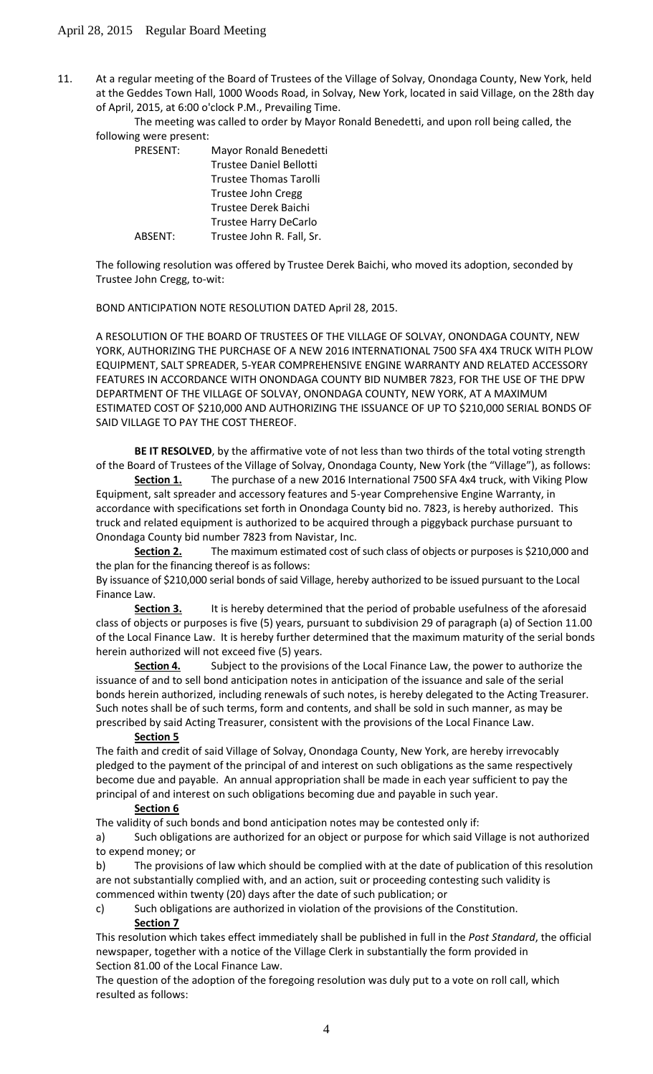11. At a regular meeting of the Board of Trustees of the Village of Solvay, Onondaga County, New York, held at the Geddes Town Hall, 1000 Woods Road, in Solvay, New York, located in said Village, on the 28th day of April, 2015, at 6:00 o'clock P.M., Prevailing Time.

The meeting was called to order by Mayor Ronald Benedetti, and upon roll being called, the following were present:

| <b>PRESENT:</b> | Mayor Ronald Benedetti         |
|-----------------|--------------------------------|
|                 | <b>Trustee Daniel Bellotti</b> |
|                 | <b>Trustee Thomas Tarolli</b>  |
|                 | Trustee John Cregg             |
|                 | Trustee Derek Baichi           |
|                 | <b>Trustee Harry DeCarlo</b>   |
| ABSENT:         | Trustee John R. Fall, Sr.      |

The following resolution was offered by Trustee Derek Baichi, who moved its adoption, seconded by Trustee John Cregg, to-wit:

BOND ANTICIPATION NOTE RESOLUTION DATED April 28, 2015.

A RESOLUTION OF THE BOARD OF TRUSTEES OF THE VILLAGE OF SOLVAY, ONONDAGA COUNTY, NEW YORK, AUTHORIZING THE PURCHASE OF A NEW 2016 INTERNATIONAL 7500 SFA 4X4 TRUCK WITH PLOW EQUIPMENT, SALT SPREADER, 5-YEAR COMPREHENSIVE ENGINE WARRANTY AND RELATED ACCESSORY FEATURES IN ACCORDANCE WITH ONONDAGA COUNTY BID NUMBER 7823, FOR THE USE OF THE DPW DEPARTMENT OF THE VILLAGE OF SOLVAY, ONONDAGA COUNTY, NEW YORK, AT A MAXIMUM ESTIMATED COST OF \$210,000 AND AUTHORIZING THE ISSUANCE OF UP TO \$210,000 SERIAL BONDS OF SAID VILLAGE TO PAY THE COST THEREOF.

**BE IT RESOLVED**, by the affirmative vote of not less than two thirds of the total voting strength of the Board of Trustees of the Village of Solvay, Onondaga County, New York (the "Village"), as follows:

Section 1. The purchase of a new 2016 International 7500 SFA 4x4 truck, with Viking Plow Equipment, salt spreader and accessory features and 5-year Comprehensive Engine Warranty, in accordance with specifications set forth in Onondaga County bid no. 7823, is hereby authorized. This truck and related equipment is authorized to be acquired through a piggyback purchase pursuant to Onondaga County bid number 7823 from Navistar, Inc.

**Section 2.** The maximum estimated cost of such class of objects or purposes is \$210,000 and the plan for the financing thereof is as follows:

By issuance of \$210,000 serial bonds of said Village, hereby authorized to be issued pursuant to the Local Finance Law.

**Section 3.** It is hereby determined that the period of probable usefulness of the aforesaid class of objects or purposes is five (5) years, pursuant to subdivision 29 of paragraph (a) of Section 11.00 of the Local Finance Law. It is hereby further determined that the maximum maturity of the serial bonds herein authorized will not exceed five (5) years.

**Section 4.** Subject to the provisions of the Local Finance Law, the power to authorize the issuance of and to sell bond anticipation notes in anticipation of the issuance and sale of the serial bonds herein authorized, including renewals of such notes, is hereby delegated to the Acting Treasurer. Such notes shall be of such terms, form and contents, and shall be sold in such manner, as may be prescribed by said Acting Treasurer, consistent with the provisions of the Local Finance Law.

### **Section 5**

The faith and credit of said Village of Solvay, Onondaga County, New York, are hereby irrevocably pledged to the payment of the principal of and interest on such obligations as the same respectively become due and payable. An annual appropriation shall be made in each year sufficient to pay the principal of and interest on such obligations becoming due and payable in such year.

### **Section 6**

The validity of such bonds and bond anticipation notes may be contested only if:

a) Such obligations are authorized for an object or purpose for which said Village is not authorized to expend money; or

b) The provisions of law which should be complied with at the date of publication of this resolution are not substantially complied with, and an action, suit or proceeding contesting such validity is commenced within twenty (20) days after the date of such publication; or

c) Such obligations are authorized in violation of the provisions of the Constitution. **Section 7**

This resolution which takes effect immediately shall be published in full in the *Post Standard*, the official newspaper, together with a notice of the Village Clerk in substantially the form provided in Section 81.00 of the Local Finance Law.

The question of the adoption of the foregoing resolution was duly put to a vote on roll call, which resulted as follows: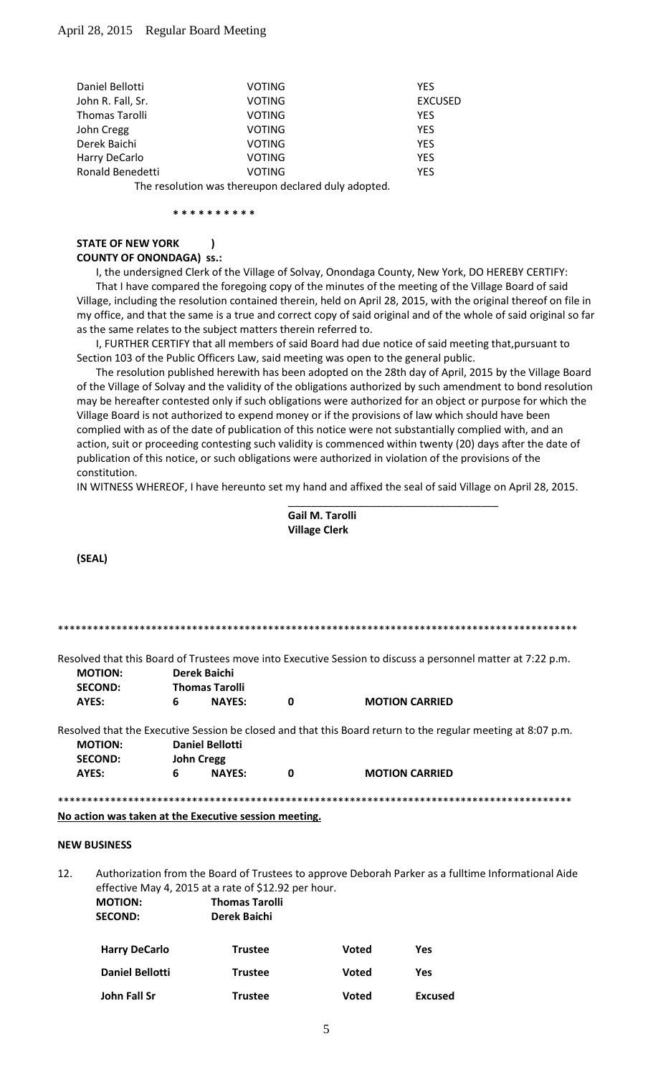| Daniel Bellotti                                    | <b>VOTING</b> | YFS            |  |  |  |
|----------------------------------------------------|---------------|----------------|--|--|--|
| John R. Fall, Sr.                                  | <b>VOTING</b> | <b>EXCUSED</b> |  |  |  |
| <b>Thomas Tarolli</b>                              | <b>VOTING</b> | <b>YFS</b>     |  |  |  |
| John Cregg                                         | <b>VOTING</b> | <b>YES</b>     |  |  |  |
| Derek Baichi                                       | <b>VOTING</b> | <b>YES</b>     |  |  |  |
| Harry DeCarlo                                      | <b>VOTING</b> | <b>YES</b>     |  |  |  |
| Ronald Benedetti                                   | <b>VOTING</b> | <b>YES</b>     |  |  |  |
| The resolution was therewean declared duly adopted |               |                |  |  |  |

The resolution was thereupon declared duly adopted.

#### **\* \* \* \* \* \* \* \* \* \***

### **STATE OF NEW YORK ) COUNTY OF ONONDAGA) ss.:**

I, the undersigned Clerk of the Village of Solvay, Onondaga County, New York, DO HEREBY CERTIFY:

That I have compared the foregoing copy of the minutes of the meeting of the Village Board of said Village, including the resolution contained therein, held on April 28, 2015, with the original thereof on file in my office, and that the same is a true and correct copy of said original and of the whole of said original so far as the same relates to the subject matters therein referred to.

I, FURTHER CERTIFY that all members of said Board had due notice of said meeting that,pursuant to Section 103 of the Public Officers Law, said meeting was open to the general public.

The resolution published herewith has been adopted on the 28th day of April, 2015 by the Village Board of the Village of Solvay and the validity of the obligations authorized by such amendment to bond resolution may be hereafter contested only if such obligations were authorized for an object or purpose for which the Village Board is not authorized to expend money or if the provisions of law which should have been complied with as of the date of publication of this notice were not substantially complied with, and an action, suit or proceeding contesting such validity is commenced within twenty (20) days after the date of publication of this notice, or such obligations were authorized in violation of the provisions of the constitution.

IN WITNESS WHEREOF, I have hereunto set my hand and affixed the seal of said Village on April 28, 2015.

\_\_\_\_\_\_\_\_\_\_\_\_\_\_\_\_\_\_\_\_\_\_\_\_\_\_\_\_\_\_\_\_\_\_\_\_

|     |                     |   |                                                                               | <b>Gail M. Tarolli</b> |                                                                                                              |
|-----|---------------------|---|-------------------------------------------------------------------------------|------------------------|--------------------------------------------------------------------------------------------------------------|
|     |                     |   |                                                                               | <b>Village Clerk</b>   |                                                                                                              |
|     | (SEAL)              |   |                                                                               |                        |                                                                                                              |
|     |                     |   |                                                                               |                        |                                                                                                              |
|     |                     |   |                                                                               |                        |                                                                                                              |
|     |                     |   |                                                                               |                        |                                                                                                              |
|     |                     |   |                                                                               |                        | Resolved that this Board of Trustees move into Executive Session to discuss a personnel matter at 7:22 p.m.  |
|     | <b>MOTION:</b>      |   | <b>Derek Baichi</b>                                                           |                        |                                                                                                              |
|     | <b>SECOND:</b>      |   | <b>Thomas Tarolli</b>                                                         |                        |                                                                                                              |
|     | AYES:               | 6 | <b>NAYES:</b>                                                                 | $\mathbf{0}$           | <b>MOTION CARRIED</b>                                                                                        |
|     |                     |   |                                                                               |                        | Resolved that the Executive Session be closed and that this Board return to the regular meeting at 8:07 p.m. |
|     | <b>MOTION:</b>      |   | <b>Daniel Bellotti</b>                                                        |                        |                                                                                                              |
|     | <b>SECOND:</b>      |   | <b>John Cregg</b>                                                             |                        |                                                                                                              |
|     | AYES:               | 6 | <b>NAYES:</b>                                                                 | 0                      | <b>MOTION CARRIED</b>                                                                                        |
|     |                     |   |                                                                               |                        |                                                                                                              |
|     |                     |   | No action was taken at the Executive session meeting.                         |                        |                                                                                                              |
|     | <b>NEW BUSINESS</b> |   |                                                                               |                        |                                                                                                              |
| 12. |                     |   |                                                                               |                        | Authorization from the Board of Trustees to approve Deborah Parker as a fulltime Informational Aide          |
|     | <b>MOTION:</b>      |   | effective May 4, 2015 at a rate of \$12.92 per hour.<br><b>Thomas Tarolli</b> |                        |                                                                                                              |
|     | <b>SECOND:</b>      |   | <b>Derek Baichi</b>                                                           |                        |                                                                                                              |
|     |                     |   |                                                                               |                        |                                                                                                              |

| <b>Harry DeCarlo</b>   | <b>Trustee</b> | Voted | Yes            |
|------------------------|----------------|-------|----------------|
| <b>Daniel Bellotti</b> | <b>Trustee</b> | Voted | Yes            |
| John Fall Sr           | <b>Trustee</b> | Voted | <b>Excused</b> |